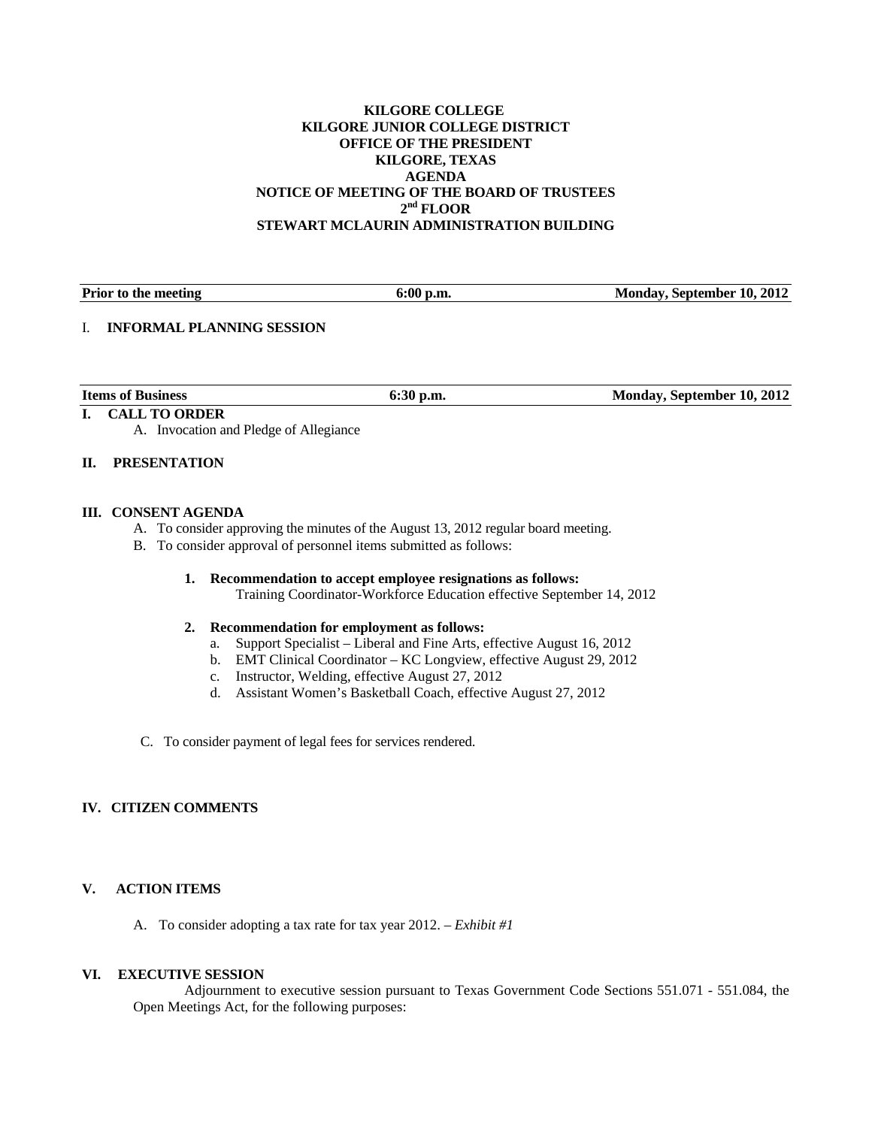#### **KILGORE COLLEGE KILGORE JUNIOR COLLEGE DISTRICT OFFICE OF THE PRESIDENT KILGORE, TEXAS AGENDA NOTICE OF MEETING OF THE BOARD OF TRUSTEES 2nd FLOOR STEWART MCLAURIN ADMINISTRATION BUILDING**

**Prior to the meeting 6:00 p.m.** 6:00 p.m. Monday, September 10, 2012

# I. **INFORMAL PLANNING SESSION**

**Items of Business 6:30 p.m.** 6:30 p.m. Monday, September 10, 2012

A. Invocation and Pledge of Allegiance

## **II. PRESENTATION**

**I. CALL TO ORDER** 

## **III. CONSENT AGENDA**

- A. To consider approving the minutes of the August 13, 2012 regular board meeting.
- B. To consider approval of personnel items submitted as follows:
	- **1. Recommendation to accept employee resignations as follows:**  Training Coordinator-Workforce Education effective September 14, 2012

#### **2. Recommendation for employment as follows:**

- a. Support Specialist Liberal and Fine Arts, effective August 16, 2012
- b. EMT Clinical Coordinator KC Longview, effective August 29, 2012
- c. Instructor, Welding, effective August 27, 2012
- d. Assistant Women's Basketball Coach, effective August 27, 2012
- C. To consider payment of legal fees for services rendered.

## **IV. CITIZEN COMMENTS**

## **V. ACTION ITEMS**

A. To consider adopting a tax rate for tax year 2012. – *Exhibit #1* 

## **VI. EXECUTIVE SESSION**

 Adjournment to executive session pursuant to Texas Government Code Sections 551.071 - 551.084, the Open Meetings Act, for the following purposes: